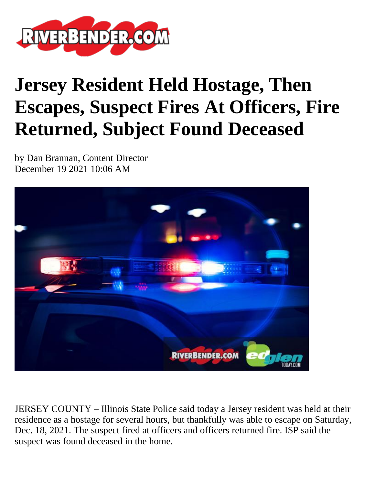

## **Jersey Resident Held Hostage, Then Escapes, Suspect Fires At Officers, Fire Returned, Subject Found Deceased**

by Dan Brannan, Content Director December 19 2021 10:06 AM



JERSEY COUNTY – Illinois State Police said today a Jersey resident was held at their residence as a hostage for several hours, but thankfully was able to escape on Saturday, Dec. 18, 2021. The suspect fired at officers and officers returned fire. ISP said the suspect was found deceased in the home.